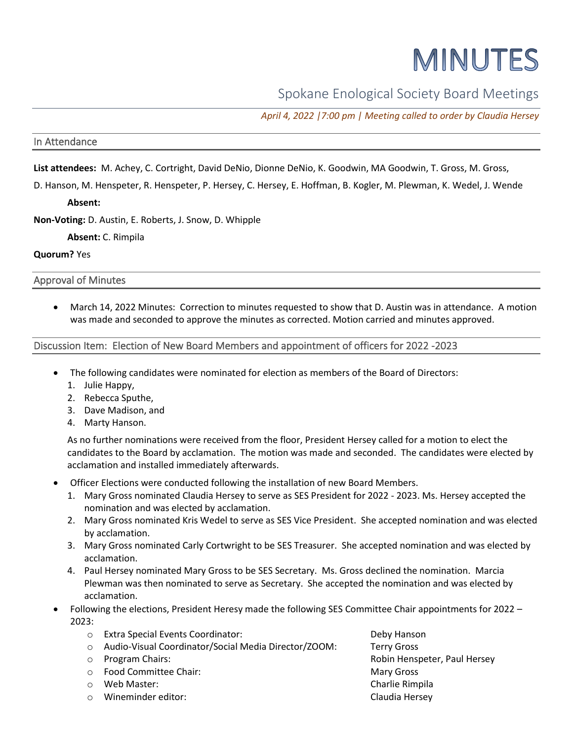# MINUTES

Spokane Enological Society Board Meetings

*April 4, 2022 |7:00 pm | Meeting called to order by Claudia Hersey*

## In Attendance

**List attendees:** M. Achey, C. Cortright, David DeNio, Dionne DeNio, K. Goodwin, MA Goodwin, T. Gross, M. Gross,

D. Hanson, M. Henspeter, R. Henspeter, P. Hersey, C. Hersey, E. Hoffman, B. Kogler, M. Plewman, K. Wedel, J. Wende

**Absent:**

**Non-Voting:** D. Austin, E. Roberts, J. Snow, D. Whipple

**Absent:** C. Rimpila

#### **Quorum?** Yes

Approval of Minutes

• March 14, 2022 Minutes: Correction to minutes requested to show that D. Austin was in attendance. A motion was made and seconded to approve the minutes as corrected. Motion carried and minutes approved.

## Discussion Item: Election of New Board Members and appointment of officers for 2022 -2023

- The following candidates were nominated for election as members of the Board of Directors:
	- 1. Julie Happy,
	- 2. Rebecca Sputhe,
	- 3. Dave Madison, and
	- 4. Marty Hanson.

As no further nominations were received from the floor, President Hersey called for a motion to elect the candidates to the Board by acclamation. The motion was made and seconded. The candidates were elected by acclamation and installed immediately afterwards.

- Officer Elections were conducted following the installation of new Board Members.
	- 1. Mary Gross nominated Claudia Hersey to serve as SES President for 2022 2023. Ms. Hersey accepted the nomination and was elected by acclamation.
	- 2. Mary Gross nominated Kris Wedel to serve as SES Vice President. She accepted nomination and was elected by acclamation.
	- 3. Mary Gross nominated Carly Cortwright to be SES Treasurer. She accepted nomination and was elected by acclamation.
	- 4. Paul Hersey nominated Mary Gross to be SES Secretary. Ms. Gross declined the nomination. Marcia Plewman was then nominated to serve as Secretary. She accepted the nomination and was elected by acclamation.
- Following the elections, President Heresy made the following SES Committee Chair appointments for 2022 2023:

|         | <b>Extra Special Events Coordinator:</b>             | Deby Hanson                  |
|---------|------------------------------------------------------|------------------------------|
|         | Audio-Visual Coordinator/Social Media Director/ZOOM: | <b>Terry Gross</b>           |
| $\circ$ | Program Chairs:                                      | Robin Henspeter, Paul Hersey |
| $\cap$  | <b>Food Committee Chair:</b>                         | <b>Mary Gross</b>            |
|         | Web Master:                                          | Charlie Rimpila              |
|         | Wineminder editor:                                   | Claudia Hersey               |
|         |                                                      |                              |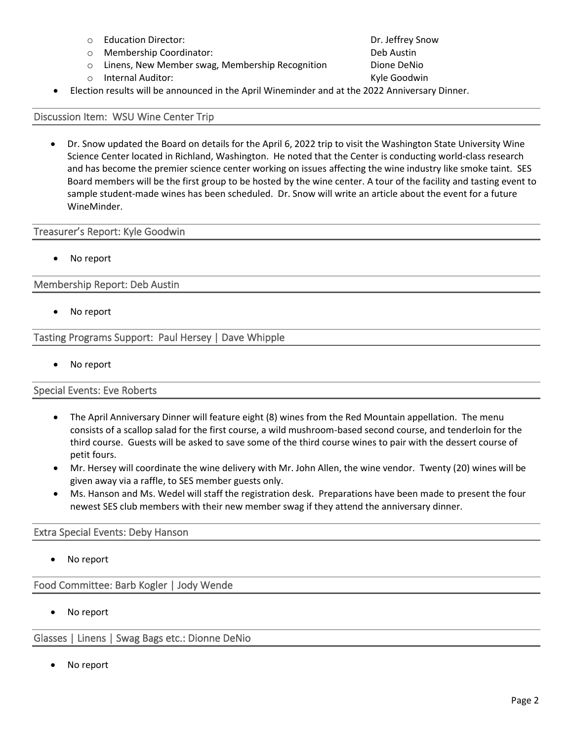- o Education Director: Dr. Jeffrey Snow
- o Membership Coordinator: Deb Austin
- $\circ$  Linens, New Member swag, Membership Recognition  $\qquad$  Dione DeNio
- 

o Internal Auditor: Kyle Goodwin • Election results will be announced in the April Wineminder and at the 2022 Anniversary Dinner.

## Discussion Item: WSU Wine Center Trip

• Dr. Snow updated the Board on details for the April 6, 2022 trip to visit the Washington State University Wine Science Center located in Richland, Washington. He noted that the Center is conducting world-class research and has become the premier science center working on issues affecting the wine industry like smoke taint. SES Board members will be the first group to be hosted by the wine center. A tour of the facility and tasting event to sample student-made wines has been scheduled. Dr. Snow will write an article about the event for a future WineMinder.

## Treasurer's Report: Kyle Goodwin

No report

# Membership Report: Deb Austin

• No report

Tasting Programs Support: Paul Hersey | Dave Whipple

• No report

# Special Events: Eve Roberts

- The April Anniversary Dinner will feature eight (8) wines from the Red Mountain appellation. The menu consists of a scallop salad for the first course, a wild mushroom-based second course, and tenderloin for the third course. Guests will be asked to save some of the third course wines to pair with the dessert course of petit fours.
- Mr. Hersey will coordinate the wine delivery with Mr. John Allen, the wine vendor. Twenty (20) wines will be given away via a raffle, to SES member guests only.
- Ms. Hanson and Ms. Wedel will staff the registration desk. Preparations have been made to present the four newest SES club members with their new member swag if they attend the anniversary dinner.

# Extra Special Events: Deby Hanson

No report

Food Committee: Barb Kogler | Jody Wende

No report

Glasses | Linens | Swag Bags etc.: Dionne DeNio

No report